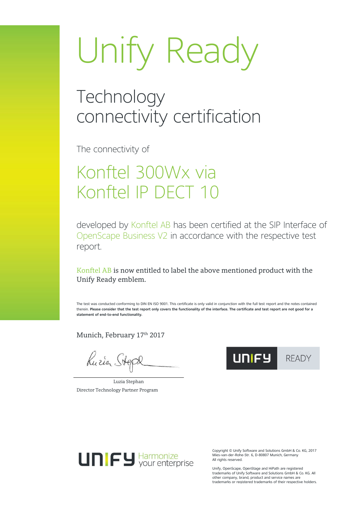#### **Technology** connectivity certification

The connectivity of

### Konftel 300Wx via Konftel IP DECT 10

developed by Konftel AB has been certified at the SIP Interface of OpenScape Business V2 in accordance with the respective test report.

Konftel AB is now entitled to label the above mentioned product with the Unify Ready emblem.

The test was conducted conforming to DIN EN ISO 9001. This certificate is only valid in conjunction with the full test report and the notes contained therein. **Please consider that the test report only covers the functionality of the interface. The certificate and test report are not good for a statement of end-to-end functionality.**

Munich, February 17<sup>th</sup> 2017

Kuria Stepl

Luzia Stephan Director Technology Partner Program





Copyright © Unify Software and Solutions GmbH & Co. KG, 2017 Mies-van-der-Rohe-Str. 6, D-80807 Munich, Germany All rights reserved.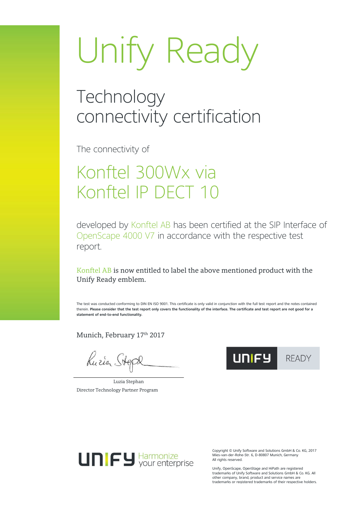#### **Technology** connectivity certification

The connectivity of

### Konftel 300Wx via Konftel IP DECT 10

developed by Konftel AB has been certified at the SIP Interface of OpenScape 4000 V7 in accordance with the respective test report.

Konftel AB is now entitled to label the above mentioned product with the Unify Ready emblem.

The test was conducted conforming to DIN EN ISO 9001. This certificate is only valid in conjunction with the full test report and the notes contained therein. **Please consider that the test report only covers the functionality of the interface. The certificate and test report are not good for a statement of end-to-end functionality.**

Munich, February 17<sup>th</sup> 2017

Kuria Stepl

Luzia Stephan Director Technology Partner Program





Copyright © Unify Software and Solutions GmbH & Co. KG, 2017 Mies-van-der-Rohe-Str. 6, D-80807 Munich, Germany All rights reserved.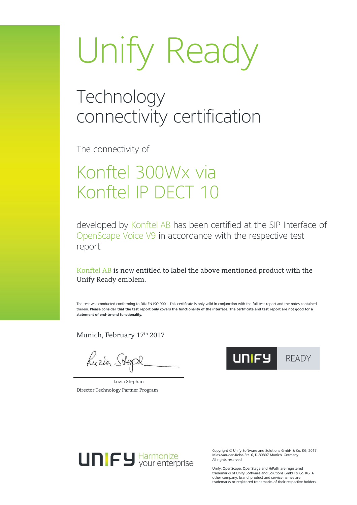#### **Technology** connectivity certification

The connectivity of

### Konftel 300Wx via Konftel IP DECT 10

developed by Konftel AB has been certified at the SIP Interface of OpenScape Voice V9 in accordance with the respective test report.

Konftel AB is now entitled to label the above mentioned product with the Unify Ready emblem.

The test was conducted conforming to DIN EN ISO 9001. This certificate is only valid in conjunction with the full test report and the notes contained therein. **Please consider that the test report only covers the functionality of the interface. The certificate and test report are not good for a statement of end-to-end functionality.**

Munich, February 17<sup>th</sup> 2017

Kuria Stepl

Luzia Stephan Director Technology Partner Program





Copyright © Unify Software and Solutions GmbH & Co. KG, 2017 Mies-van-der-Rohe-Str. 6, D-80807 Munich, Germany All rights reserved.